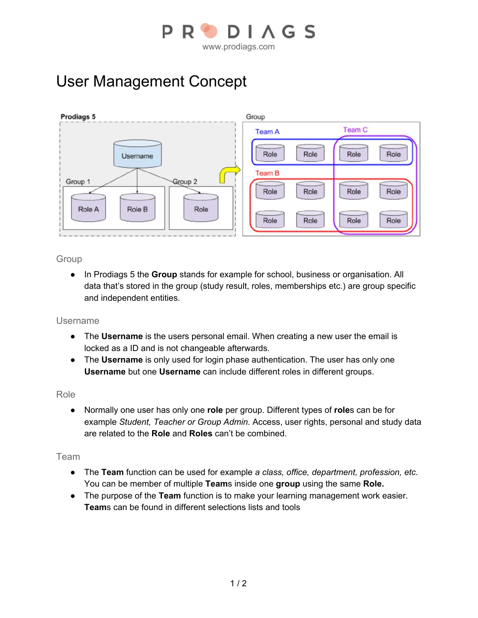

# User Management Concept



### Group

● In Prodiags 5 the **Group** stands for example for school, business or organisation. All data that's stored in the group (study result, roles, memberships etc.) are group specific and independent entities.

### Username

- The **Username** is the users personal email. When creating a new user the email is locked as a ID and is not changeable afterwards.
- The **Username** is only used for login phase authentication. The user has only one **Username** but one **Username** can include different roles in different groups.

#### Role

● Normally one user has only one **role** per group. Different types of **role**s can be for example *Student, Teacher or Group Admin*. Access, user rights, personal and study data are related to the **Role** and **Roles** can't be combined.

#### Team

- The **Team** function can be used for example *a class, office, department, profession, etc.* You can be member of multiple **Team**s inside one **group** using the same **Role.**
- The purpose of the **Team** function is to make your learning management work easier. **Team**s can be found in different selections lists and tools